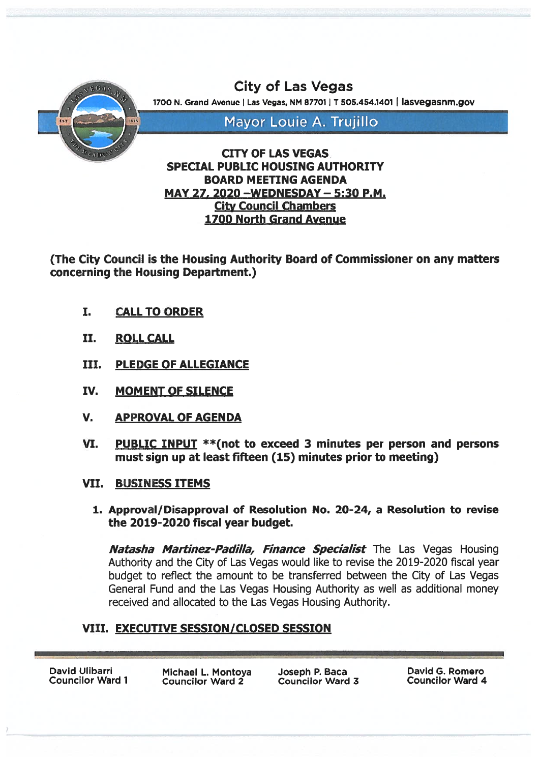

# MAY 27, 2020 —WEDNESDAY — 5:30 P.M. City Council Chambers 1700 North Grand Avenue

(The City Council is the Housing Authority Board of Commissioner on any matters concerning the Housing Department.)

- I. CALL TO ORDER
- IL ROLL CALL
- III. PLEDGE OF ALLEGIANCE
- IV. MOMENT OF SILENCE
- V. APPROVAL OF AGENDA
- VI. PUBLIC INPUT \*\*(not to exceed <sup>3</sup> minutes per person and persons must sign up at least fifteen (15) minutes prior to meeting)
- VII. BUSINESS ITEMS
	- 1. Approval/Disapproval of Resolution No. 20-24, <sup>a</sup> Resolution to revise the 2019-2020 fiscal year budget.

**Natasha Martinez-Padilla, Finance Specialist** The Las Vegas Housing Authority and the City of Las Vegas would like to revise the 2019-2020 fiscal year budget to reflect the amount to be transferred between the City of Las Vegas General Fund and the Las Vegas Housing Authority as well as additional money received and allocated to the Las Vegas Housing Authority.

# VIII. EXECUTIVE SESSION/CLOSED SESSION

David Ulibarri Michael L. Montoya Joseph P. Baca David G. Romero Councilor Ward 1 Councilor Ward 4 Councilor Ward 2 Councilor Ward 3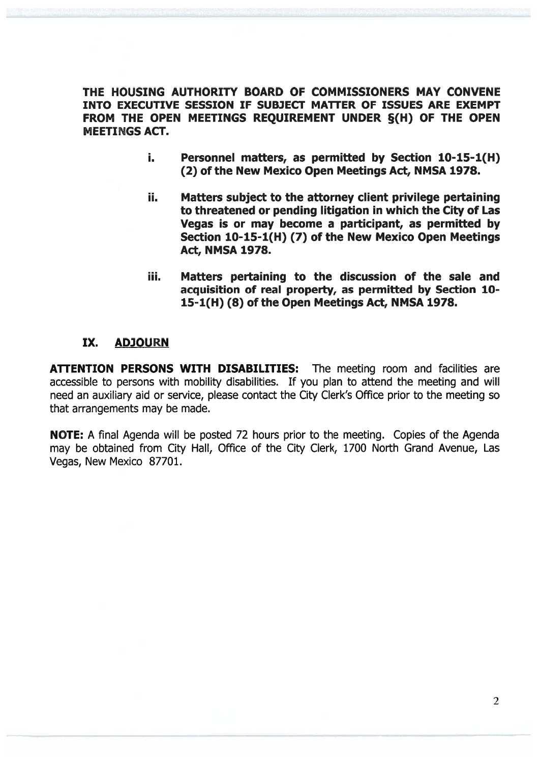THE HOUSING AUTHORITY BOARD OF COMMISSIONERS MAY CONVENE INTO EXECUTIVE SESSION IF SUBJECT MATTER OF ISSUES ARE EXEMPT FROM THE OPEN MEETINGS REQUIREMENT UNDER §(H) OF THE OPEN MEETINGS ACT.

- i. Personnel matters, as permitted by Section 10-15-1(H) (2) of the New Mexico Open Meetings Act, NMSA 1978.
- ii. Matters subject to the attorney client privilege pertaining to threatened or pending litigation in which the City of Las Vegas is or may become <sup>a</sup> participant, as permitted by Section 10-15-1(H) (7) of the New Mexico Open Meetings Act, NMSA 1978.
- iii. Matters pertaining to the discussion of the sale and acquisition of real property, as permitted by Section 10- 15-1(H) (8) of the Open Meetings Act, NMSA 1978.

## IX. ADJOURN

ATTENTION PERSONS WITH DISABILITIES: The meeting room and facilities are accessible to persons with mobility disabilities. If you plan to attend the meeting and will need an auxiliary aid or service, please contact the City Clerk's Office prior to the meeting so that arrangements may be made.

NOTE: A final Agenda will be posted 72 hours prior to the meeting. Copies of the Agenda may be obtained from City Hall, Office of the City Clerk, 1700 North Grand Avenue, Las Vegas, New Mexico 87701.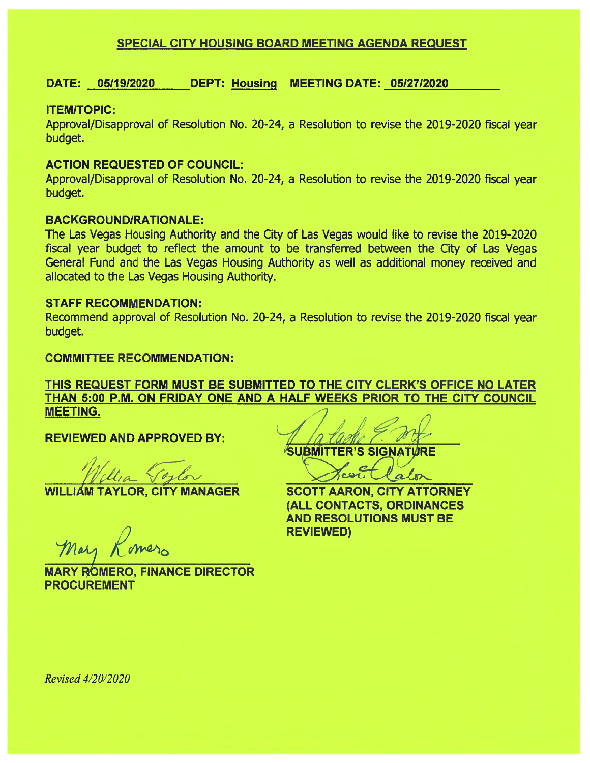## SPECIAL CITY HOUSING BOARD MEETING AGENDA REQUEST

## DATE: 05119/2020 DEPT: Housing MEETING DATE: 05I27I2020

## ITEMITOPIC:

Approval/Disapproval of Resolution No. 20-24, <sup>a</sup> Resolution to revise the 2019-2020 fiscal year budget.

## ACTION REQUESTED OF COUNCIL:

Approval/Disapproval of Resolution No. 20-24, <sup>a</sup> Resolution to revise the 2019-2020 fiscal year budget.

## BACKGROUND/RATIONALE:

The Las Vegas Housing Authority and the City of Las Vegas would like to revise the 2019-2020 fiscal year budget to reflect the amount to be transferred between the City of Las Vegas General Fund and the Las Vegas Housing Authority as well as additional money received and allocated to the Las Vegas Housing Authority.

## STAFF RECOMMENDATION:

Recommend approval of Resolution No. 20-24, <sup>a</sup> Resolution to revise the 2019-2020 fiscal year budget.

## COMMITTEE RECOMMENDATION:

## THIS REQUEST FORM MUST BE SUBMITTED TO THE CITY CLERK'S OFFICE NO LATER THAN 5:00 P.M. ON FRIDAY ONE AND A HALF WEEKS PRIOR TO THE CITY COUNCIL MEETING.

REVIEWED AND APPROVED BY:

WILLIAM TAYLOR, CITY MANAGER

Mary Romero

**MARY ROMERO, FINANCE DIRECTOR** PROCUREMENT

**SUBMITTER'S SIGNATURE** 

alon

SCOTT AARON, CITY ATTORNEY (ALL CONTACTS, ORDINANCES AND RESOLUTIONS MUST BE REVIEWED)

Revised 4/20/2020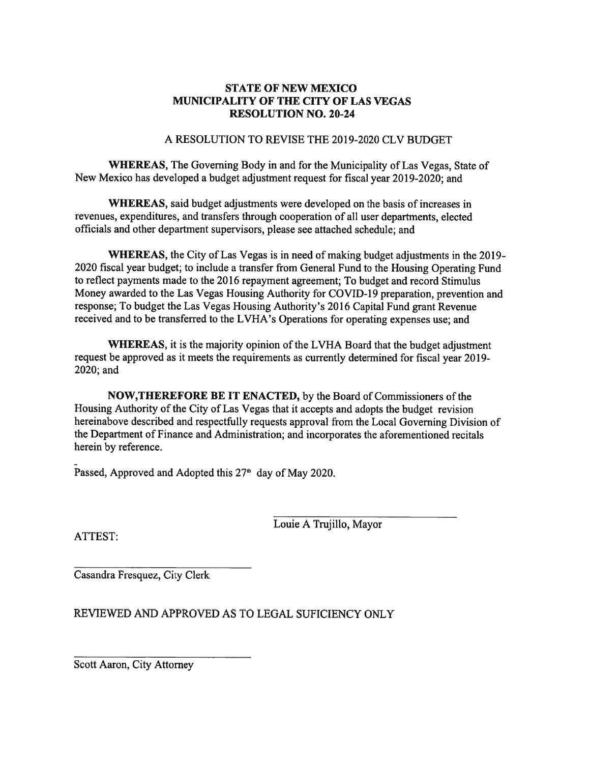## STATE OF NEW MEXICO MUNICIPALITY OF THE CITY OF LAS VEGAS RESOLUTION NO. 20-24

#### A RESOLUTION TO REVISE THE 2019-2020 CLV BUDGET

WHEREAS, The Governing Body in and for the Municipality of Las Vegas, State of New Mexico has developed <sup>a</sup> budget adjustment reques<sup>t</sup> for fiscal year 20 19-2020; and

WHEREAS, said budget adjustments were developed on the basis of increases in revenues, expenditures, and transfers through cooperation of all user departments, elected officials and other department supervisors, please see attached schedule; and

WHEREAS, the City of Las Vegas is in need of making budget adjustments in the 2019- 2020 fiscal year budget; to include <sup>a</sup> transfer from General Fund to the Housing Operating Fund to reflect payments made to the <sup>2016</sup> repaymen<sup>t</sup> agreement; To budget and record Stimulus Money awarded to the Las Vegas Housing Authority for COVID- 19 preparation, prevention and response; To budget the Las Vegas Housing Authority's 2016 Capital Fund gran<sup>t</sup> Revenue received and to be transferred to the LVHA's Operations for operating expenses use; and

WHEREAS, it is the majority opinion of the LVHA Board that the budget adjustment reques<sup>t</sup> be approve<sup>d</sup> as it meets the requirements as currently determined for fiscal year 2019- 2020; and

NOW,THEREFORE BE IT ENACTED, by the Board of Commissioners of the Housing Authority of the City of Las Vegas that it accepts and adopts the budget revision hereinabove described and respectfully requests approva<sup>l</sup> from the Local Governing Division of the Department of Finance and Administration; and incorporates the aforementioned recitals herein by reference.

Passed, Approved and Adopted this 27<sup>th</sup> day of May 2020.

Louie A Trujillo, Mayor

ATTEST:

Casandra Fresquez, City Clerk

REVIEWED AND APPROVED AS TO LEGAL SUFICIENCY ONLY

Scott Aaron, City Attorney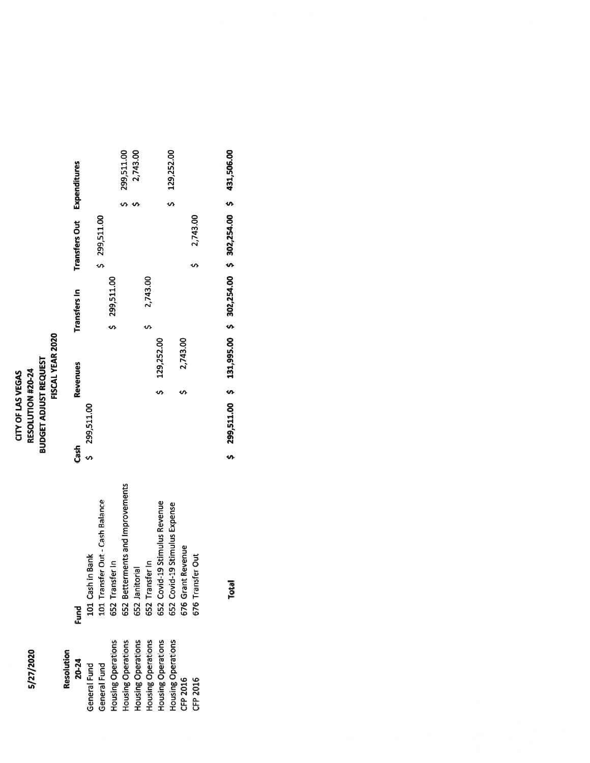5/27/2020

# **RESOLUTION #20-24<br>BUDGET ADJUST REQUEST<br>FISCAL YEAR 2020** FISCAL YEAR 2020 BUDGET ADJUST REQUEST **CITY OF LAS VEGAS** 5/27/2020 RESOLUTION #20-24 CITY OF LAS VEGAS

| Resolution<br>20-24       | Fund                             | Cash         | Revenues     | Transfers In | <b>Transfers Out Expenditures</b> |                      |
|---------------------------|----------------------------------|--------------|--------------|--------------|-----------------------------------|----------------------|
| General Fund              | 101 Cash in Bank                 | \$299,511.00 |              |              |                                   |                      |
| General Fund              | 101 Transfer Out - Cash Balance  |              |              |              | \$ 299,511.00                     |                      |
| Housing Operations        | 652 Transfer In                  |              |              | \$299,511.00 |                                   |                      |
| <b>Housing Operations</b> | 652 Betterments and Improvements |              |              |              |                                   | 299,511.00           |
| Housing Operations        | 652 Janitorial                   |              |              |              |                                   | 2,743.00             |
| Housing Operations        | 652 Transfer In                  |              |              | 2,743.00     |                                   |                      |
| Housing Operations        | 652 Covid-19 Stimulus Revenue    |              | \$129,252.00 |              |                                   |                      |
| Housing Operations        | 652 Covid-19 Stimulus Expense    |              |              |              |                                   | 129,252.00<br>.<br>พ |
| CFP 2016                  | t Revenue<br>676 Grant           |              | 2,743.00     |              |                                   |                      |
| CFP 2016                  | 676 Transfer Out                 |              |              |              | 2,743.00                          |                      |
|                           |                                  |              |              |              |                                   |                      |

Total \$ 299,511.00 \$ 131,995.00 \$ 302,254.00 \$ 302,254.00 \$ 431,506.00

Total

\$ 299,511.00 \$ 131,995.00 \$ 302,254.00 \$ 302,254.00 \$ 431,506.00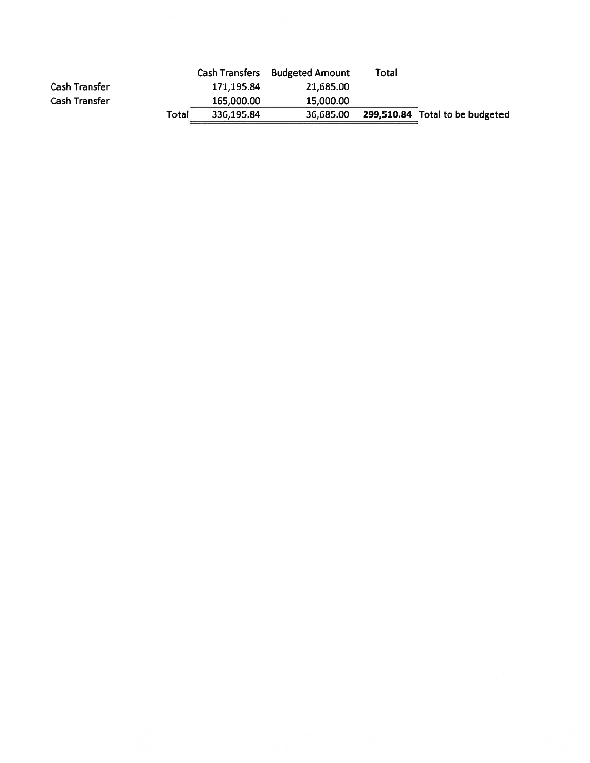|                      |       |            | Cash Transfers Budgeted Amount | Total |                                 |
|----------------------|-------|------------|--------------------------------|-------|---------------------------------|
| <b>Cash Transfer</b> |       | 171.195.84 | 21,685.00                      |       |                                 |
| <b>Cash Transfer</b> |       | 165,000.00 | 15,000.00                      |       |                                 |
|                      | Total | 336.195.84 | 36,685.00                      |       | 299,510.84 Total to be budgeted |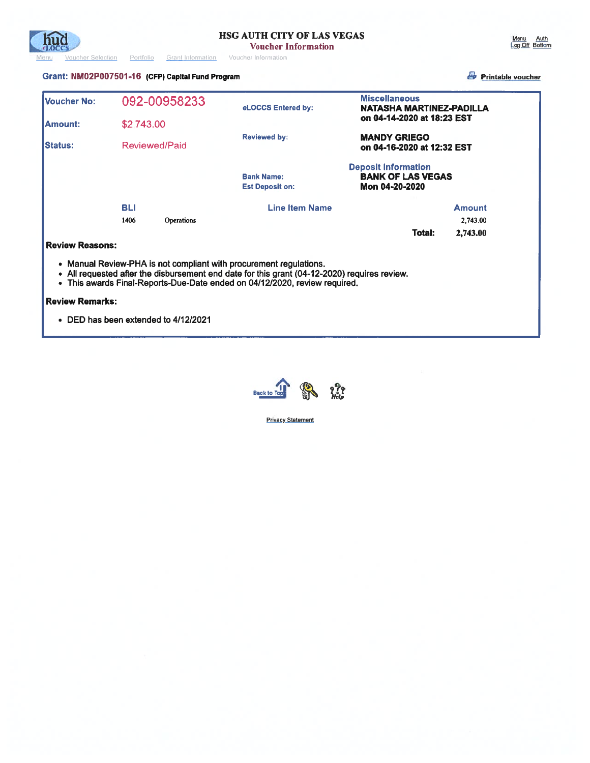

#### Grant: NM02P007501 -16 (CFP) Capital Fund Program Fiinta.DI vicher

| Voucher No:            | 092-00958233                                                       | eLOCCS Entered by:                                                                                                                                                         | <b>Miscellaneous</b><br>NATASHA MARTINEZ-PADILLA                         |               |
|------------------------|--------------------------------------------------------------------|----------------------------------------------------------------------------------------------------------------------------------------------------------------------------|--------------------------------------------------------------------------|---------------|
| <b>IAmount:</b>        | \$2,743,00                                                         |                                                                                                                                                                            | on 04-14-2020 at 18:23 EST                                               |               |
| <b>IStatus:</b>        | Reviewed/Paid                                                      | <b>Reviewed by:</b>                                                                                                                                                        | <b>MANDY GRIEGO</b><br>on 04-16-2020 at 12:32 EST                        |               |
|                        |                                                                    | <b>Bank Name:</b><br><b>Est Deposit on:</b>                                                                                                                                | <b>Deposit Information</b><br><b>BANK OF LAS VEGAS</b><br>Mon 04-20-2020 |               |
|                        | <b>BLI</b>                                                         | <b>Line Item Name</b>                                                                                                                                                      |                                                                          | <b>Amount</b> |
|                        | 1406<br>Operations                                                 |                                                                                                                                                                            |                                                                          | 2,743.00      |
|                        |                                                                    |                                                                                                                                                                            | Total:                                                                   | 2,743.00      |
| <b>Review Reasons:</b> |                                                                    |                                                                                                                                                                            |                                                                          |               |
|                        | • Manual Review-PHA is not compliant with procurement regulations. | • All requested after the disbursement end date for this grant (04-12-2020) requires review.<br>• This awards Final-Reports-Due-Date ended on 04/12/2020, review required. |                                                                          |               |
| <b>Review Remarks:</b> |                                                                    |                                                                                                                                                                            |                                                                          |               |
|                        | • DED has been extended to 4/12/2021                               |                                                                                                                                                                            |                                                                          |               |



**Privacy Statement**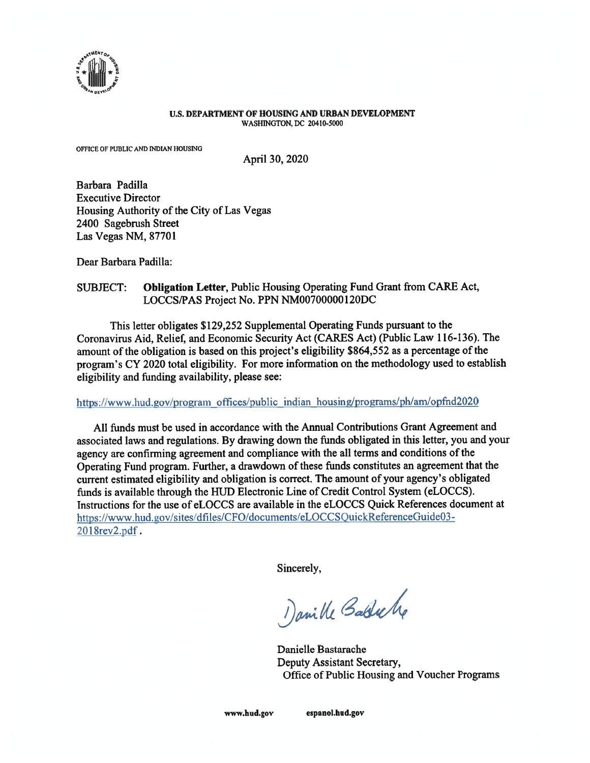

#### U.S. DEPARTMENT OF HOUSING AND URBAN DEVELOPMENT WASHINGTON, DC 20410-5000

OFFICE OF PUBLIC AND INDIAN HOUSING

April 30, 2020

Barbara Padilla Executive Director Housing Authority of the City of Las Vegas 2400 Sagebrush Street Las Vegas NM, 87701

Dear Barbara Padilla:

#### SUBJECT: Obligation Letter, Public Housing Operating Fund Grant from CARE Act, LOCCS/PAS Project No. PPN NMOO70000012ODC

This letter obligates \$129,252 Supplemental Operating Funds pursuan<sup>t</sup> to the Coronavirus Aid, Relief, and Economic Security Act (CARES Act) (Public Law 116-136). The amount of the obligation is based on this project's eligibility \$864,552 as a percentage of the program's CY <sup>2020</sup> total eligibility. For more information on the methodology used to establish eligibility and funding availability, please see:

#### https://www.hud.gov/program offices/public indian housing/programs/ph/am/opfnd2020

All funds must be used in accordance with the Annual Contributions Grant Agreement and associated laws and regulations. By drawing down the funds obligated in this letter, you and your agency are confirming agreemen<sup>t</sup> and compliance with the all terms and conditions of the Operating Fund program. Further, <sup>a</sup> drawdown of these funds constitutes an agreemen<sup>t</sup> that the current estimated eligibility and obligation is correct. The amount of your agency's obligated funds is available through the HUD Electronic Line of Credit Control System (eLOCCS). Instructions for the use of eLOCCS are available in the eLOCCS Quick References document at https://www.hud.gov/sites/dfiles/CFO/documents/eLOCCSQuickReferenceGuide03-201 8rev2,pdf.

Sincerely,

Danible Babbiche

Danielle Bastarache Deputy Assistant Secretary, Office of Public Housing and Voucher Programs

www.hud.gov espanol.hud.gov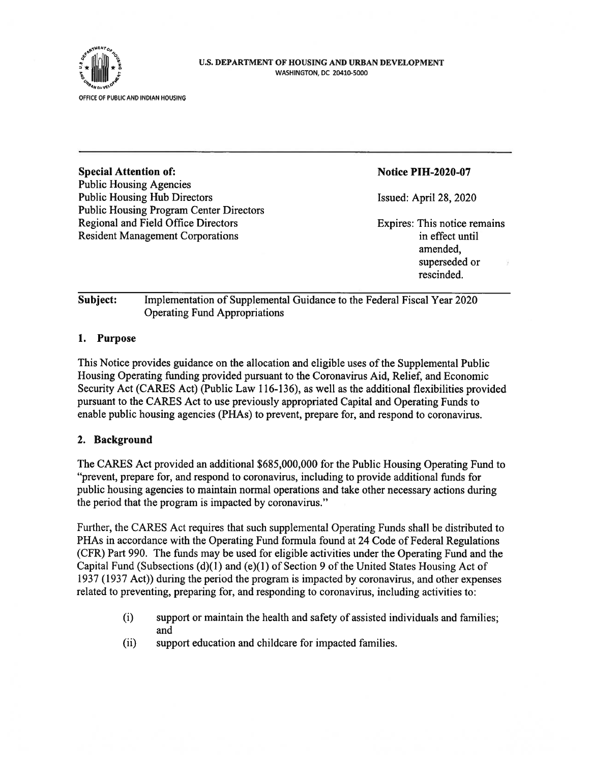

#### U.S. DEPARTMENT OF HOUSING AND URBAN DEVELOPMENT WASHINGTON, DC 20410-5000

| <b>Special Attention of:</b>                   | <b>Notice PIH-2020-07</b>    |
|------------------------------------------------|------------------------------|
| <b>Public Housing Agencies</b>                 |                              |
| <b>Public Housing Hub Directors</b>            | Issued: April 28, 2020       |
| <b>Public Housing Program Center Directors</b> |                              |
| Regional and Field Office Directors            | Expires: This notice remains |
| <b>Resident Management Corporations</b>        | in effect until              |
|                                                | amended,                     |
|                                                | superseded or                |
|                                                | rescinded.                   |
|                                                |                              |
|                                                |                              |

## Subject: Implementation of Supplemental Guidance to the Federal Fiscal Year 2020 Operating Fund Appropriations

## 1. Purpose

This Notice provides guidance on the allocation and eligible uses of the Supplemental Public Housing Operating funding provided pursuan<sup>t</sup> to the Coronavirus Aid, Relief, and Economic Security Act (CARES Act) (Public Law 116-136), as well as the additional flexibilities provided pursuan<sup>t</sup> to the CARES Act to use previously appropriated Capital and Operating Funds to enable public housing agencies (PHAs) to prevent, prepare for, and respond to coronavirus.

#### 2. Background

The CARES Act provided an additional \$685,000,000 for the Public Housing Operating Fund to "prevent, prepare for, and respond to coronavirus, including to provide additional funds for public housing agencies to maintain normal operations and take other necessary actions during the period that the program is impacted by coronavirus."

Further, the CARES Act requires that such supplemental Operating Funds shall be distributed to PHAs in accordance with the Operating Fund formula found at 24 Code of Federal Regulations (CFR) Part 990. The funds may be used for eligible activities under the Operating Fund and the Capital Fund (Subsections  $(d)(1)$  and  $(e)(1)$  of Section 9 of the United States Housing Act of 1937 (1937 Act)) during the period the program is impacted by coronavirus, and other expenses related to preventing, preparing for, and responding to coronavirus, including activities to:

- (i) suppor<sup>t</sup> or maintain the health and safety of assisted individuals and families; and
- (ii) suppor<sup>t</sup> education and childeare for impacted families.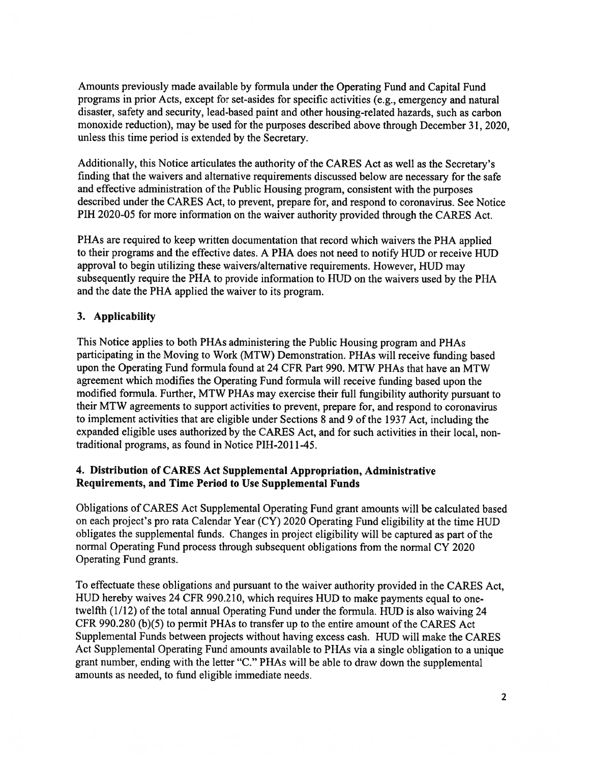Amounts previously made available by formula under the Operating Fund and Capital Fund programs in prior Acts, excep<sup>t</sup> for set-asides for specific activities (e.g., emergency and natural disaster, safety and security, lead-based paint and other housing-related hazards, such as carbon monoxide reduction), may be used for the purposes described above through December 31, 2020, unless this time period is extended by the Secretary.

Additionally, this Notice articulates the authority of the CARES Act as well as the Secretary's finding that the waivers and alternative requirements discussed below are necessary for the safe and effective administration of the Public Housing program, consistent with the purposes described under the CARES Act, to prevent, prepare for, and respond to coronavirus. See Notice PIH 2020-05 for more information on the waiver authority provided through the CARES Act.

PHAs are required to keep written documentation that record which waivers the PHA applied to their programs and the effective dates. <sup>A</sup> PHA does not need to notify HUD or receive HUD approva<sup>l</sup> to begin utilizing these waivers/alternative requirements. However, HUD may subsequently require the PHA to provide information to HUD on the waivers used by the PHA and the date the PHA applied the waiver to its program.

## 3. Applicability

This Notice applies to both PHAs administering the Public Housing program and PHAs participating in the Moving to Work (MTW) Demonstration. PHAs will receive funding based upon the Operating Fund formula found at 24 CFR Part 990. MTW PHAs that have an MTW agreemen<sup>t</sup> which modifies the Operating Fund formula will receive funding based upon the modified formula. Further, MTW PHAs may exercise their full fungibility authority pursuan<sup>t</sup> to their MTW agreements to suppor<sup>t</sup> activities to prevent, prepare for, and respond to coronavirus to implement activities that are eligible under Sections 8 and <sup>9</sup> of the 1937 Act, including the expanded eligible uses authorized by the CARES Act, and for such activities in their local, non traditional programs, as found in Notice PIH-2011-45.

#### 4. Distribution of CARES Act Supplemental Appropriation, Administrative Requirements, and Time Period to Use Supplemental Funds

Obligations of CARES Act Supplemental Operating Fund gran<sup>t</sup> amounts will be calculated based on each project's pro rata Calendar Year (CY) 2020 Operating Fund eligibility at the time HUD obligates the supplemental funds. Changes in project eligibility will be captured as par<sup>t</sup> of the normal Operating Fund process through subsequent obligations from the normal CY 2020 Operating Fund grants.

To effectuate these obligations and pursuan<sup>t</sup> to the waiver authority provided in the CARES Act, HUD hereby waives <sup>24</sup> CFR 990.2 10, which requires HUD to make payments equal to one twelfth (1/12) of the total annual Operating Fund under the formula. HUD is also waiving 24 CFR 990.280 (b)(5) to permit PHAs to transfer up to the entire amount of the CARES Act Supplemental Funds between projects without having excess cash. HUD will make the CARES Act Supplemental Operating Fund amounts available to PHAs via <sup>a</sup> single obligation to <sup>a</sup> unique gran<sup>t</sup> number, ending with the letter "C." PHAs will be able to draw down the supplemental amounts as needed, to fund eligible immediate needs.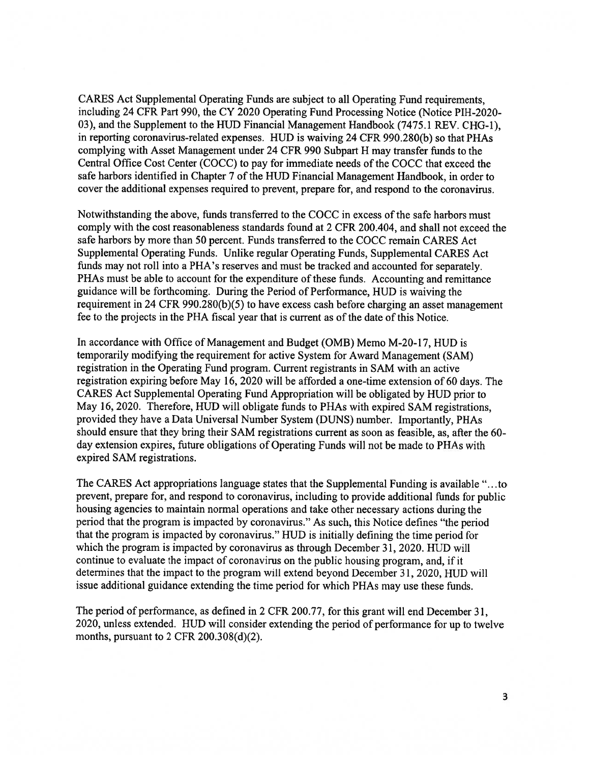CARES Act Supplemental Operating Funds are subject to all Operating Fund requirements, including 24 CFR Part 990, the CY 2020 Operating Fund Processing Notice (Notice PIH-2020- 03), and the Supplement to the HUD Financial Management Handbook (7475.1 REV. CHG-1), in reporting coronavirus-related expenses. HUD is waiving 24 CFR 990.280(b) so that PHAs complying with Asset Management under <sup>24</sup> CFR 990 Subpart <sup>H</sup> may transfer funds to the Central Office Cost Center (COCC) to pay for immediate needs of the COCC that exceed the safe harbors identified in Chapter <sup>7</sup> of the HUD Financial Management Handbook, in order to cover the additional expenses required to prevent, prepare for, and respond to the coronavirus.

Notwithstanding the above, funds transferred to the COCC in excess of the safe harbors must comply with the cost reasonableness standards found at 2 CFR 200.404, and shall not exceed the safe harbors by more than 50 percent. Funds transferred to the COCC remain CARES Act Supplemental Operating Funds. Unlike regular Operating Funds, Supplemental CARES Act funds may not roll into <sup>a</sup> PHA's reserves and must be tracked and accounted for separately. PHAs must be able to account for the expenditure of these funds. Accounting and remittance guidance will be forthcoming. During the Period of Performance, HUD is waiving the requirement in <sup>24</sup> CFR 990.280(b)(5) to have excess cash before charging an asset managemen<sup>t</sup> fee to the projects in the PHA fiscal year that is current as of the date of this Notice.

In accordance with Office of Management and Budget (0MB) Memo M-20-l7, HUD is temporarily modifying the requirement for active System for Award Management (SAM) registration in the Operating Fund program. Current registrants in SAM with an active registration expiring before May 16, <sup>2020</sup> will be afforded <sup>a</sup> one-time extension of <sup>60</sup> days. The CARES Act Supplemental Operating Fund Appropriation will be obligated by HUD prior to May 16, 2020. Therefore, HUD will obligate funds to PHAs with expired SAM registrations, provided they have <sup>a</sup> Data Universal Number System (DUNS) number. Importantly, PHAs should ensure that they bring their SAM registrations current as soon as feasible, as, after the 60 day extension expires, future obligations of Operating Funds will not be made to PHAs with expired SAM registrations.

The CARES Act appropriations language states that the Supplemental Funding is available "...to prevent, prepare for, and respon<sup>d</sup> to coronavirus, including to provide additional funds for public housing agencies to maintain normal operations and take other necessary actions during the period that the program is impacted by coronavirus." As such, this Notice defines "the period that the program is impacted by coronavirus." HUD is initially defining the time period for which the program is impacted by coronavirus as through December 31, 2020. HUD will continue to evaluate the impact of coronavirus on the public housing program, and, if it determines that the impact to the program will extend beyond December 31, 2020, HUD will issue additional guidance extending the time period for which PHAs may use these funds.

The period of performance, as defined in <sup>2</sup> CFR 200.77, for this gran<sup>t</sup> will end December 31, 2020, unless extended. HUD will consider extending the period of performance for up to twelve months, pursuan<sup>t</sup> to 2 CFR 200.308(d)(2).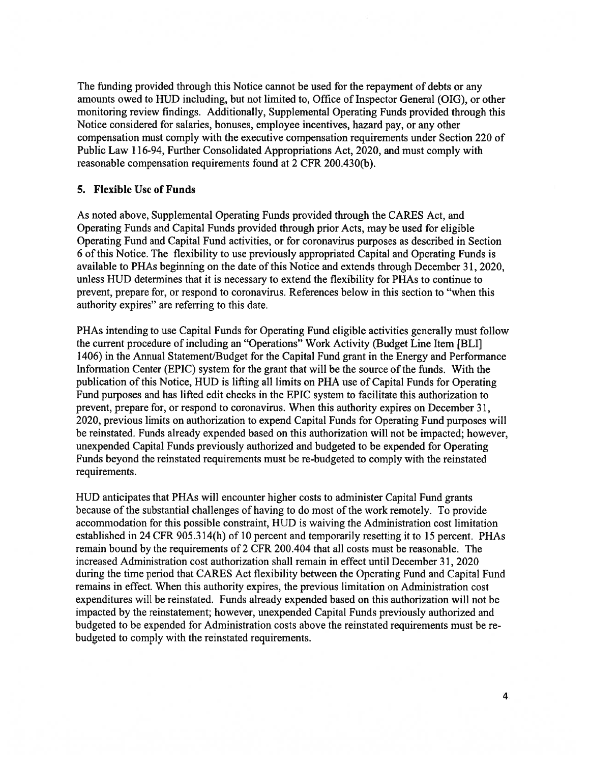The funding provided through this Notice cannot be used for the repaymen<sup>t</sup> of debts or any amounts owed to HUD including, but not limited to, Office of Inspector General (OIG), or other monitoring review findings, Additionally, Supplemental Operating Funds provided through this Notice considered for salaries, bonuses, employee incentives, hazard pay, or any other compensation must comply with the executive compensation requirements under Section 220 of Public Law 116-94, Further Consolidated Appropriations Act, 2020, and must comply with reasonable compensation requirements found at 2 CFR 200.430(b).

#### 5. Flexible Use of Funds

As noted above, Supplemental Operating Funds provided through the CARES Act, and Operating Funds and Capital Funds provided through prior Acts, may be used for eligible Operating Fund and Capital Fund activities, or for coronavirus purposes as described in Section <sup>6</sup> of this Notice. The flexibility to use previously appropriated Capital and Operating Funds is available to PHAs beginning on the date of this Notice and extends through December 31, 2020, unless HUD determines that it is necessary to extend the flexibility for PHAs to continue to prevent, prepare for, or respond to coronavirus. References below in this section to "when this authority expires" are referring to this date.

PHAs intending to use Capital Funds for Operating Fund eligible activities generally must follow the current procedure of including an "Operations" Work Activity (Budget Line Item [BLI] 1406) in the Annual Statement/Budget for the Capital Fund gran<sup>t</sup> in the Energy and Performance Infonnation Center (EPIC) system for the gran<sup>t</sup> that will be the source of the funds. With the publication of this Notice, HUD is lifting all limits on PHA use of Capital Funds for Operating Fund purposes and has lifted edit checks in the EPIC system to facilitate this authorization to prevent, prepare for, or respond to coronavirus. When this authority expires on December 31, 2020, previous limits on authorization to expend Capital Funds for Operating Fund purposes will be reinstated. Funds already expended based on this authorization will not be impacted; however, unexpended Capital Funds previously authorized and budgeted to be expended for Operating Funds beyond the reinstated requirements must be re-budgeted to comply with the reinstated requirements.

HUD anticipates that PHAs will encounter higher costs to administer Capital Fund grants because of the substantial challenges of having to do most of the work remotely. To provide accommodation for this possible constraint, HUD is waiving the Administration cost limitation established in 24 CFR 905.314(h) of 10 percen<sup>t</sup> and temporarily resetting it to 15 percent. PHAs remain bound by the requirements of 2 CFR 200.404 that all costs must be reasonable. The increased Administration cost authorization shall remain in effect until December 3 1, 2020 during the time period that CARES Act flexibility between the Operating Fund and Capital Fund remains in effect. When this authority expires, the previous limitation on Administration cost expenditures will be reinstated. Funds already expended based on this authorization will not be impacted by the reinstatement; however, unexpended Capital Funds previously authorized and budgeted to be expended for Administration costs above the reinstated requirements must be re budgeted to comply with the reinstated requirements.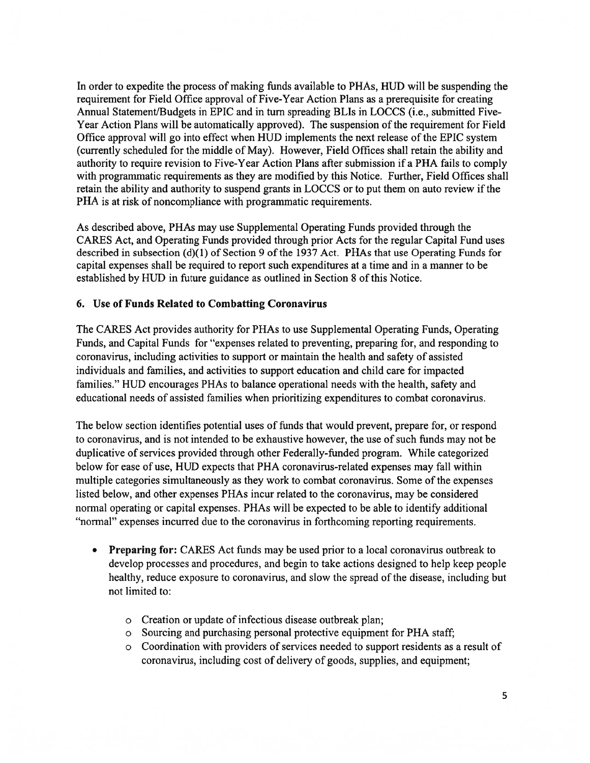In order to expedite the process of making funds available to PHAs, HUD will be suspending the requirement for Field Office approval of Five-Year Action Plans as <sup>a</sup> prerequisite for creating Annual Statement/Budgets in EPIC and in turn spreading BLIs in LOCCS (i.e., submitted Five-Year Action Plans will be automatically approved). The suspension of the requirement for Field Office approval will go into effect when HUD implements the next release of the EPIC system (currently scheduled for the middle of May). However, Field Offices shall retain the ability and authority to require revision to Five-Year Action Plans after submission if <sup>a</sup> PHA fails to comply with programmatic requirements as they are modified by this Notice. Further, Field Offices shall retain the ability and authority to suspend grants in LOCCS or to pu<sup>t</sup> them on auto review if the PHA is at risk of noncompliance with programmatic requirements.

As described above, PHAs may use Supplemental Operating Funds provided through the CARES Act, and Operating Funds provided through prior Acts for the regular Capital Fund uses described in subsection (d)(1) of Section 9 of the 1937 Act. PHAs that use Operating Funds for capital expenses shall be required to repor<sup>t</sup> such expenditures at <sup>a</sup> time and in <sup>a</sup> manner to be established by HUD in future guidance as outlined in Section 8 of this Notice.

#### 6. Use of Funds Related to Combatting Coronavirus

The CARES Act provides authority for PHAs to use Supplemental Operating Funds, Operating Funds, and Capital Funds for "expenses related to preventing, preparing for, and responding to coronavirus, including activities to suppor<sup>t</sup> or maintain the health and safety of assisted individuals and families, and activities to suppor<sup>t</sup> education and child care for impacted families." HUD encourages PHAs to balance operational needs with the health, safety and educational needs of assisted families when prioritizing expenditures to combat coronavirus,

The below section identifies potential uses of funds that would prevent, prepare for, or respond to coronavirus, and is not intended to be exhaustive however, the use of such funds may not be duplicative of services provided through other Federally-funded program. While categorized below for ease of use, HUD expects that PHA coronavirus-related expenses may fall within multiple categories simultaneously as they work to combat coronavirus. Some of the expenses listed below, and other expenses PHAs incur related to the coronavirus, may be considered normal operating or capital expenses. PHAs will be expected to be able to identify additional "normal" expenses incurred due to the coronavirus in forthcoming reporting requirements.

- Preparing for: CARES Act funds may be used prior to a local coronavirus outbreak to develop processes and procedures, and begin to take actions designed to help keep people healthy, reduce exposure to coronavirus, and slow the spread of the disease, including but not limited to:
	- <sup>o</sup> Creation or update of infectious disease outbreak plan;
	- <sup>o</sup> Sourcing and purchasing personal protective equipment for PHA staff;
	- <sup>o</sup> Coordination with providers of services needed to suppor<sup>t</sup> residents as <sup>a</sup> result of coronavirus, including cost of delivery of goods, supplies, and equipment;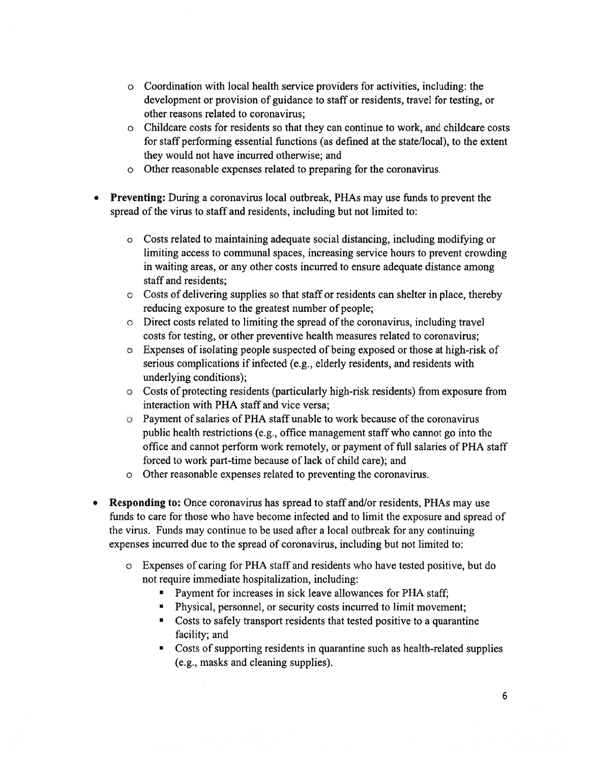- <sup>o</sup> Coordination with local health service providers for activities, including: the development or provision of guidance to staff or residents, travel for testing, or other reasons related to coronavirus;
- <sup>o</sup> Childcare costs for residents so that they can continue to work, and childcare costs for staff performing essential functions (as defined at the state/local), to the extent they would not have incurred otherwise; and
- <sup>o</sup> Other reasonable expenses related to preparing for the coronavirus.
- Preventing: During <sup>a</sup> coronavirus local outbreak, PHAs may use funds to preven<sup>t</sup> the spread of the virus to staff and residents, including but not limited to:
	- <sup>o</sup> Costs related to maintaining adequate social distancing, including modifying or limiting access to communal spaces, increasing service hours to preven<sup>t</sup> crowding in waiting areas, or any other costs incurred to ensure adequate distance among staff and residents;
	- <sup>o</sup> Costs of delivering supplies so that staff or residents can shelter in place, thereby reducing exposure to the greatest number of people;
	- <sup>o</sup> Direct costs related to limiting the spread of the coronavirus, including travel costs for testing, or other preventive health measures related to coronavirus;
	- <sup>o</sup> Expenses of isolating people suspected of being exposed or those at high-risk of serious complications if infected (e.g., elderly residents, and residents with underlying conditions);
	- <sup>o</sup> Costs of protecting residents (particularly high-risk residents) from exposure from interaction with PHA staff and vice versa;
	- <sup>o</sup> Payment of salaries of PHA staff unable to work because of the coronavirus public health restrictions (e.g., office managemen<sup>t</sup> staff who cannot go into the office and cannot perform work remotely, or paymen<sup>t</sup> of full salaries of PHA staff forced to work part-time because of lack of child care); and
	- <sup>o</sup> Other reasonable expenses related to preventing the coronavirus.
- Responding to: Once coronavirus has spread to staff and/or residents, PHAs may use funds to care for those who have become infected and to limit the exposure and spread of the virus. Funds may continue to be used after <sup>a</sup> local outbreak for any continuing expenses incurred due to the spread of coronavirus, including but not limited to:
	- <sup>o</sup> Expenses of caring for PHA staff and residents who have tested positive, but do not require immediate hospitalization, including:
		- Payment for increases in sick leave allowances for PHA staff;
		- Physical, personnel, or security costs incurred to limit movement;
		- Costs to safely transport residents that tested positive to <sup>a</sup> quarantine facility; and
		- Costs of supporting residents in quarantine such as health-related supplies (e.g., masks and cleaning supplies).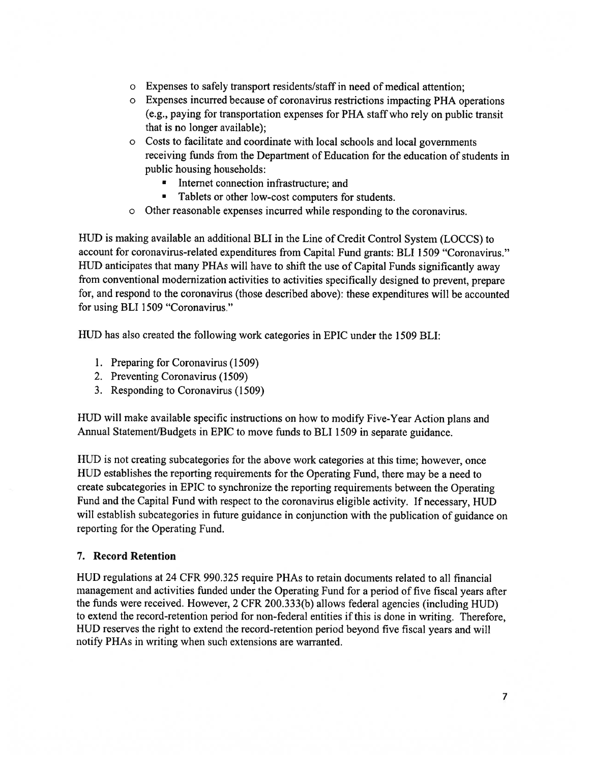- <sup>o</sup> Expenses to safely transport residents/staff in need of medical attention;
- <sup>o</sup> Expenses incurred because of coronavirus restrictions impacting PHA operations (e.g., paying for transportation expenses for PHA staff who rely on public transit that is no longer available);
- <sup>o</sup> Costs to facilitate and coordinate with local schools and local governments receiving funds from the Department of Education for the education of students in public housing households:
	- •Internet connection infrastructure; and
	- Tablets or other low-cost computers for students.
- Other reasonable expenses incurred while responding to the coronavirus.

HUD is making available an additional BLI in the Line of Credit Control System (LOCCS) to account for coronavirus-related expenditures from Capital Fund grants: BLI 1509 "Coronavirus." HUD anticipates that many PHAs will have to shift the use of Capital Funds significantly away from conventional modernization activities to activities specifically designed to prevent, prepare for, and respon<sup>d</sup> to the coronavirus (those described above): these expenditures will be accounted for using BLI 1509 "Coronavirus."

HUD has also created the following work categories in EPIC under the 1509 BLI:

- 1. Preparing for Coronavirus (1509)
- 2. Preventing Coronavirus (1509)
- 3. Responding to Coronavirus (1509)

HUD will make available specific instructions on how to modify Five-Year Action <sup>p</sup>lans and Annual Statement/Budgets in EPIC to move funds to BLI <sup>1509</sup> in separate guidance.

HUD is not creating subcategories for the above work categories at this time; however, once HUD establishes the reporting requirements for the Operating Fund, there may be <sup>a</sup> need to create subcategories in EPIC to synchronize the reporting requirements between the Operating Fund and the Capital Fund with respec<sup>t</sup> to the coronavirus eligible activity. If necessary, HUD will establish subcategories in future guidance in conjunction with the publication of guidance on reporting for the Operating Fund.

## 7. Record Retention

HUD regulations at 24 CFR 990.325 require PHAs to retain documents related to all financial managemen<sup>t</sup> and activities funded under the Operating Fund for <sup>a</sup> period of five fiscal years after the funds were received. However, <sup>2</sup> CFR 200.333(b) allows federal agencies (including HUD) to extend the record-retention period for non-federal entities if this is done in writing. Therefore, HUD reserves the right to extend the record-retention period beyond five fiscal years and will notify PHAs in writing when such extensions are warranted.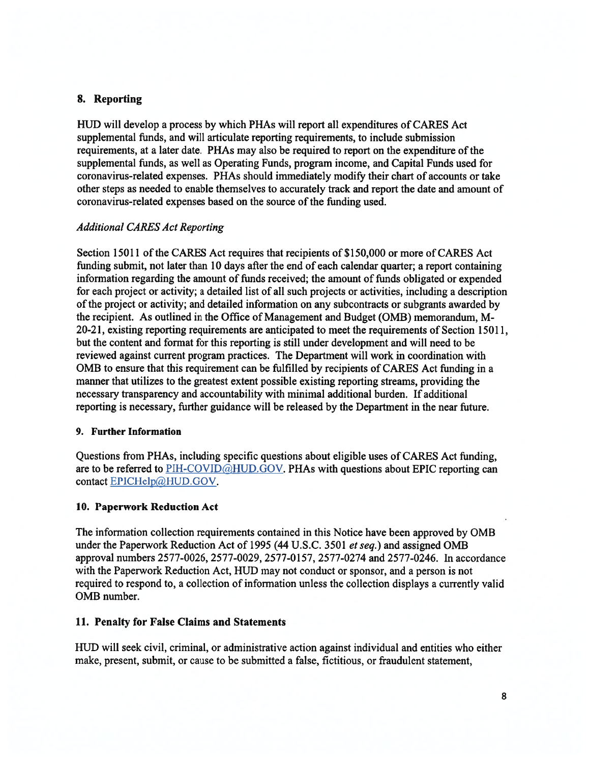## 8. Reporting

HUD will develop <sup>a</sup> process by which PHAs will repor<sup>t</sup> all expenditures of CARES Act supplemental funds, and will articulate reporting requirements, to include submission requirements, at <sup>a</sup> later date. PHAs may also be required to repor<sup>t</sup> on the expenditure ofthe supplemental funds, as well as Operating Funds, program income, and Capital Funds used for coronavirus-related expenses. PHAs should immediately modify their chart of accounts or take other steps as needed to enable themselves to accurately track and repor<sup>t</sup> the date and amount of coronavirus-related expenses based on the source of the funding used.

#### Additional CARES Act Reporting

Section 15011 of the CARES Act requires that recipients of \$150,000 or more of CARES Act funding submit, not later than 10 days after the end of each calendar quarter; <sup>a</sup> repor<sup>t</sup> containing information regarding the amount of funds received; the amount of funds obligated or expended for each project or activity; <sup>a</sup> detailed list of all such projects or activities, including <sup>a</sup> description ofthe project or activity; and detailed information on any subcontracts or subgrants awarded by the recipient. As outlined in the Office of Management and Budget (0MB) memorandum, M 20-2 1, existing reporting requirements are anticipated to meet the requirements of Section 15011, but the content and format for this reporting is still under development and will need to be reviewed against current program practices. The Department will work in coordination with 0MB to ensure that this requirement can be fulfilled by recipients of CARES Act funding in <sup>a</sup> manner that utilizes to the greatest extent possible existing reporting streams, providing the necessary transparency and accountability with minimal additional burden. If additional reporting is necessary, further guidance will be released by the Department in the near future.

#### 9. Further Information

Questions from PHAs, including specific questions about eligible uses of CARES Act funding, are to be referred to  $PH-COVID@HUD.GOV. PHAs with questions about EPIC reporting can$ contact EPICHelp@HUD.GOV.

#### 10. Paperwork Reduction Act

The information collection requirements contained in this Notice have been approved by 0MB under the Paperwork Reduction Act of 1995 (44 U.S.C. 3501 et seq.) and assigned OMB approval numbers 2577-0026, 2577-0029, 2577-0 157, 2577-0274 and 2577-0246. In accordance with the Paperwork Reduction Act, HUD may not conduct or sponsor, and <sup>a</sup> person is not required to respond to, <sup>a</sup> collection of information unless the collection displays <sup>a</sup> currently valid 0MB number.

#### 11. Penalty for False Claims and Statements

HUD will seek civil, criminal, or administrative action against individual and entities who either make, present, submit, or cause to be submitted <sup>a</sup> false, fictitious, or fraudulent statement,